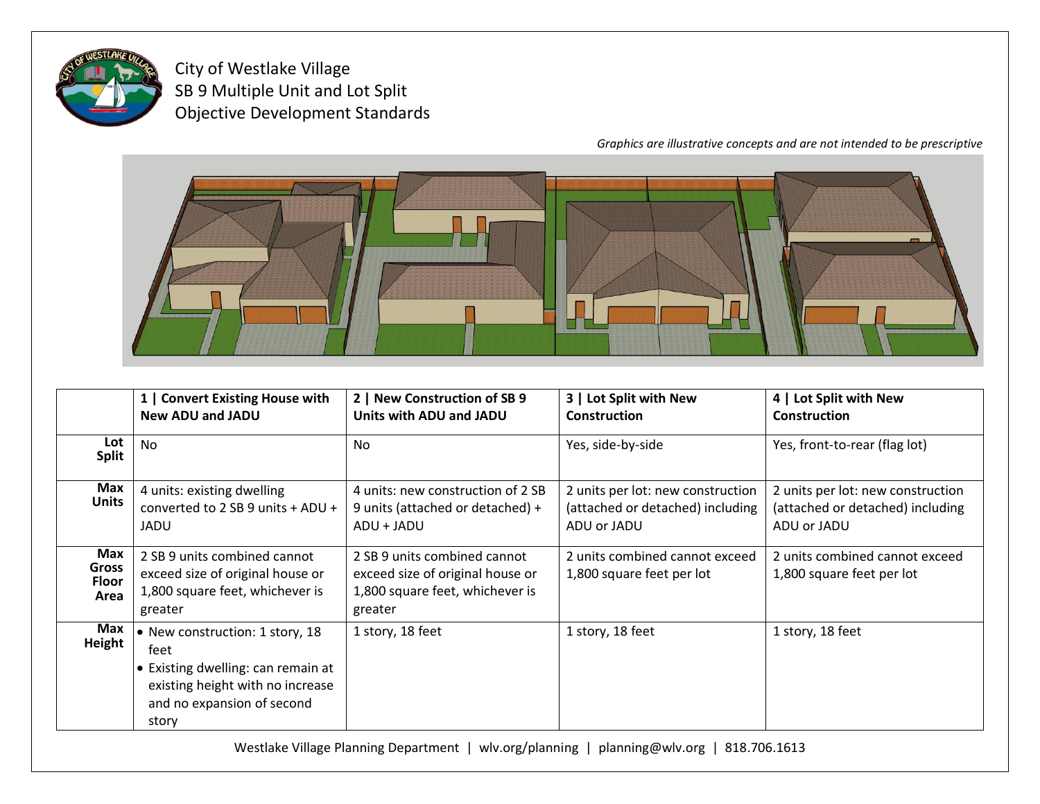

City of Westlake Village SB 9 Multiple Unit and Lot Split Objective Development Standards

*Graphics are illustrative concepts and are not intended to be prescriptive*



|                                      | 1   Convert Existing House with<br><b>New ADU and JADU</b>                                                                                               | 2   New Construction of SB 9<br>Units with ADU and JADU                                                        | 3   Lot Split with New<br><b>Construction</b>                                        | 4   Lot Split with New<br><b>Construction</b>                                        |
|--------------------------------------|----------------------------------------------------------------------------------------------------------------------------------------------------------|----------------------------------------------------------------------------------------------------------------|--------------------------------------------------------------------------------------|--------------------------------------------------------------------------------------|
| Lot<br><b>Split</b>                  | <b>No</b>                                                                                                                                                | <b>No</b>                                                                                                      | Yes, side-by-side                                                                    | Yes, front-to-rear (flag lot)                                                        |
| Max<br><b>Units</b>                  | 4 units: existing dwelling<br>converted to 2 SB 9 units $+$ ADU $+$<br>JADU                                                                              | 4 units: new construction of 2 SB<br>9 units (attached or detached) +<br>ADU + JADU                            | 2 units per lot: new construction<br>(attached or detached) including<br>ADU or JADU | 2 units per lot: new construction<br>(attached or detached) including<br>ADU or JADU |
| Max<br><b>Gross</b><br>Floor<br>Area | 2 SB 9 units combined cannot<br>exceed size of original house or<br>1,800 square feet, whichever is<br>greater                                           | 2 SB 9 units combined cannot<br>exceed size of original house or<br>1,800 square feet, whichever is<br>greater | 2 units combined cannot exceed<br>1,800 square feet per lot                          | 2 units combined cannot exceed<br>1,800 square feet per lot                          |
| Max<br>Height                        | • New construction: 1 story, 18<br>feet<br>• Existing dwelling: can remain at<br>existing height with no increase<br>and no expansion of second<br>story | 1 story, 18 feet                                                                                               | 1 story, 18 feet                                                                     | 1 story, 18 feet                                                                     |

Westlake Village Planning Department | wlv.org/planning | planning@wlv.org | 818.706.1613